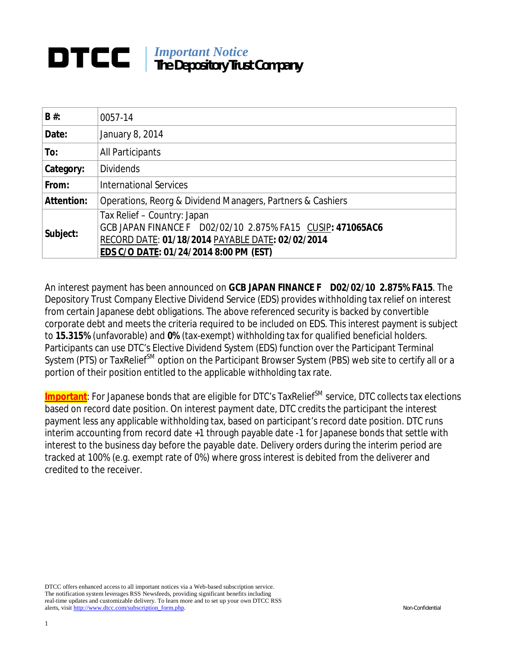## *Important Notice* **The Depository Trust Company**

| $B#$ :            | 0057-14                                                                                                                                                                                        |
|-------------------|------------------------------------------------------------------------------------------------------------------------------------------------------------------------------------------------|
| Date:             | January 8, 2014                                                                                                                                                                                |
| To:               | All Participants                                                                                                                                                                               |
| Category:         | <b>Dividends</b>                                                                                                                                                                               |
| From:             | <b>International Services</b>                                                                                                                                                                  |
| <b>Attention:</b> | Operations, Reorg & Dividend Managers, Partners & Cashiers                                                                                                                                     |
| Subject:          | Tax Relief – Country: Japan<br>GCB JAPAN FINANCE F D02/02/10 2.875% FA15 CUSIP: 471065AC6<br>RECORD DATE: 01/18/2014 PAYABLE DATE: 02/02/2014<br><b>EDS C/O DATE: 01/24/2014 8:00 PM (EST)</b> |

An interest payment has been announced on **GCB JAPAN FINANCE F D02/02/10 2.875% FA15**. The Depository Trust Company Elective Dividend Service (EDS) provides withholding tax relief on interest from certain Japanese debt obligations. The above referenced security is backed by convertible corporate debt and meets the criteria required to be included on EDS. This interest payment is subject to **15.315%** (unfavorable) and **0%** (tax-exempt) withholding tax for qualified beneficial holders. Participants can use DTC's Elective Dividend System (EDS) function over the Participant Terminal System (PTS) or TaxRelief<sup>SM</sup> option on the Participant Browser System (PBS) web site to certify all or a portion of their position entitled to the applicable withholding tax rate.

Important: For Japanese bonds that are eligible for DTC's TaxRelief<sup>SM</sup> service, DTC collects tax elections based on record date position. On interest payment date, DTC credits the participant the interest payment less any applicable withholding tax, based on participant's record date position. DTC runs interim accounting from record date +1 through payable date -1 for Japanese bonds that settle with interest to the business day before the payable date. Delivery orders during the interim period are tracked at 100% (e.g. exempt rate of 0%) where gross interest is debited from the deliverer and credited to the receiver.

DTCC offers enhanced access to all important notices via a Web-based subscription service. The notification system leverages RSS Newsfeeds, providing significant benefits including real-time updates and customizable delivery. To learn more and to set up your own DTCC RSS alerts, visit http://www.dtcc.com/subscription\_form.php. Non-Confidential